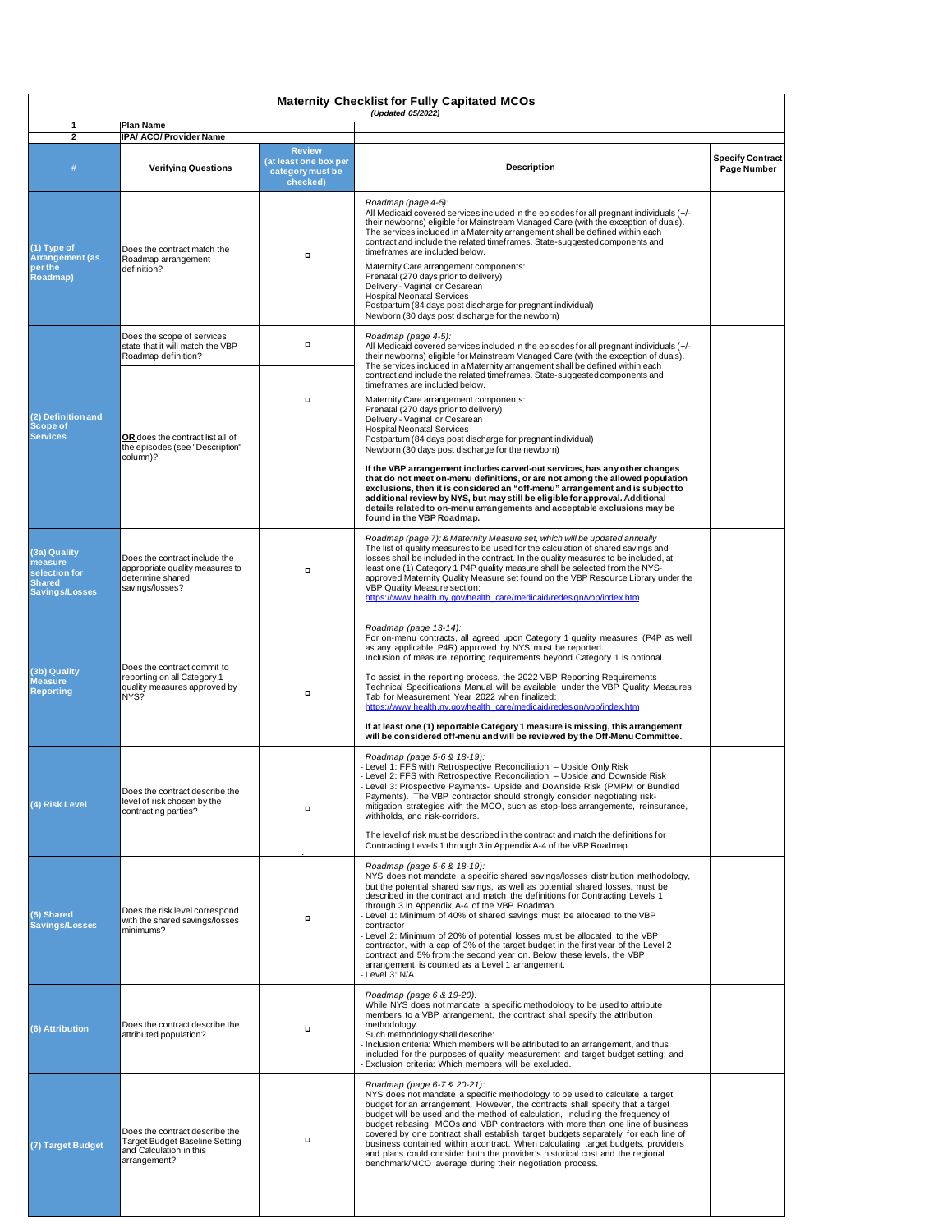| <b>Maternity Checklist for Fully Capitated MCOs</b><br>(Updated 05/2022)           |                                                                                                             |                                                                        |                                                                                                                                                                                                                                                                                                                                                                                                                                                                                                                                                                                                                                                                                                                                              |                                               |  |  |  |
|------------------------------------------------------------------------------------|-------------------------------------------------------------------------------------------------------------|------------------------------------------------------------------------|----------------------------------------------------------------------------------------------------------------------------------------------------------------------------------------------------------------------------------------------------------------------------------------------------------------------------------------------------------------------------------------------------------------------------------------------------------------------------------------------------------------------------------------------------------------------------------------------------------------------------------------------------------------------------------------------------------------------------------------------|-----------------------------------------------|--|--|--|
| $\mathbf{2}$                                                                       | <b>Plan Name</b><br><b>IPA/ ACO/ Provider Name</b>                                                          |                                                                        |                                                                                                                                                                                                                                                                                                                                                                                                                                                                                                                                                                                                                                                                                                                                              |                                               |  |  |  |
| #                                                                                  | <b>Verifying Questions</b>                                                                                  | <b>Review</b><br>(at least one box per<br>category must be<br>checked) | <b>Description</b>                                                                                                                                                                                                                                                                                                                                                                                                                                                                                                                                                                                                                                                                                                                           | <b>Specify Contract</b><br><b>Page Number</b> |  |  |  |
| (1) Type of<br><b>Arrangement (as</b><br>per the<br><b>Roadmap)</b>                | Does the contract match the<br>Roadmap arrangement<br>definition?                                           | $\Box$                                                                 | Roadmap (page 4-5):<br>All Medicaid covered services included in the episodes for all pregnant individuals (+/-<br>their newborns) eligible for Mainstream Managed Care (with the exception of duals).<br>The services included in a Maternity arrangement shall be defined within each<br>contract and include the related timeframes. State-suggested components and<br>timeframes are included below.<br>Maternity Care arrangement components:<br>Prenatal (270 days prior to delivery)<br>Delivery - Vaginal or Cesarean<br><b>Hospital Neonatal Services</b><br>Postpartum (84 days post discharge for pregnant individual)<br>Newborn (30 days post discharge for the newborn)                                                        |                                               |  |  |  |
| (2) Definition and<br><b>Scope of</b><br><b>Services</b>                           | Does the scope of services<br>state that it will match the VBP<br>Roadmap definition?                       | о                                                                      | Roadmap (page 4-5):<br>All Medicaid covered services included in the episodes for all pregnant individuals (+/-<br>their newborns) eligible for Mainstream Managed Care (with the exception of duals).<br>The services included in a Maternity arrangement shall be defined within each                                                                                                                                                                                                                                                                                                                                                                                                                                                      |                                               |  |  |  |
|                                                                                    | <b>OR</b> does the contract list all of<br>the episodes (see "Description"<br>column)?                      | о                                                                      | contract and include the related timeframes. State-suggested components and<br>timeframes are included below.<br>Maternity Care arrangement components:<br>Prenatal (270 days prior to delivery)<br>Delivery - Vaginal or Cesarean<br><b>Hospital Neonatal Services</b><br>Postpartum (84 days post discharge for pregnant individual)<br>Newborn (30 days post discharge for the newborn)                                                                                                                                                                                                                                                                                                                                                   |                                               |  |  |  |
|                                                                                    |                                                                                                             |                                                                        | If the VBP arrangement includes carved-out services, has any other changes<br>that do not meet on-menu definitions, or are not among the allowed population<br>exclusions, then it is considered an "off-menu" arrangement and is subject to<br>additional review by NYS, but may still be eligible for approval. Additional<br>details related to on-menu arrangements and acceptable exclusions may be<br>found in the VBP Roadmap.                                                                                                                                                                                                                                                                                                        |                                               |  |  |  |
| (3a) Quality<br>measure<br>selection for<br><b>Shared</b><br><b>Savings/Losses</b> | Does the contract include the<br>appropriate quality measures to<br>determine shared<br>savings/losses?     | $\Box$                                                                 | Roadmap (page 7): & Maternity Measure set, which will be updated annually<br>The list of quality measures to be used for the calculation of shared savings and<br>losses shall be included in the contract. In the quality measures to be included, at<br>least one (1) Category 1 P4P quality measure shall be selected from the NYS-<br>approved Maternity Quality Measure set found on the VBP Resource Library under the<br><b>VBP Quality Measure section:</b><br>https://www.health.ny.gov/health_care/medicaid/redesign/vbp/index.htm                                                                                                                                                                                                 |                                               |  |  |  |
| (3b) Quality<br><b>Measure</b><br><b>Reporting</b>                                 | Does the contract commit to<br>reporting on all Category 1<br>quality measures approved by<br>NYS?          | о                                                                      | Roadmap (page 13-14):<br>For on-menu contracts, all agreed upon Category 1 quality measures (P4P as well<br>as any applicable P4R) approved by NYS must be reported.<br>Inclusion of measure reporting requirements beyond Category 1 is optional.<br>To assist in the reporting process, the 2022 VBP Reporting Requirements<br>Technical Specifications Manual will be available under the VBP Quality Measures<br>Tab for Measurement Year 2022 when finalized:<br>https://www.health.ny.gov/health_care/medicaid/redesign/vbp/index.htm<br>If at least one (1) reportable Category 1 measure is missing, this arrangement<br>will be considered off-menu and will be reviewed by the Off-Menu Committee.                                 |                                               |  |  |  |
| (4) Risk Level                                                                     | Does the contract describe the<br>level of risk chosen by the<br>contracting parties?                       | о                                                                      | Roadmap (page 5-6 & 18-19):<br>- Level 1: FFS with Retrospective Reconciliation - Upside Only Risk<br>- Level 2: FFS with Retrospective Reconciliation - Upside and Downside Risk<br>- Level 3: Prospective Payments- Upside and Downside Risk (PMPM or Bundled<br>Payments). The VBP contractor should strongly consider negotiating risk-<br>mitigation strategies with the MCO, such as stop-loss arrangements, reinsurance,<br>withholds, and risk-corridors.<br>The level of risk must be described in the contract and match the definitions for<br>Contracting Levels 1 through 3 in Appendix A-4 of the VBP Roadmap.                                                                                                                 |                                               |  |  |  |
| (5) Shared<br><b>Savings/Losses</b>                                                | Does the risk level correspond<br>with the shared savings/losses<br>minimums?                               | □                                                                      | Roadmap (page 5-6 & 18-19):<br>NYS does not mandate a specific shared savings/losses distribution methodology,<br>but the potential shared savings, as well as potential shared losses, must be<br>described in the contract and match the definitions for Contracting Levels 1<br>through 3 in Appendix A-4 of the VBP Roadmap.<br>- Level 1: Minimum of 40% of shared savings must be allocated to the VBP<br>contractor<br>- Level 2: Minimum of 20% of potential losses must be allocated to the VBP<br>contractor, with a cap of 3% of the target budget in the first year of the Level 2<br>contract and 5% from the second year on. Below these levels, the VBP<br>arrangement is counted as a Level 1 arrangement.<br>- Level 3: N/A |                                               |  |  |  |
| (6) Attribution                                                                    | Does the contract describe the<br>attributed population?                                                    |                                                                        | Roadmap (page 6 & 19-20):<br>While NYS does not mandate a specific methodology to be used to attribute<br>members to a VBP arrangement, the contract shall specify the attribution<br>methodology.<br>Such methodology shall describe:<br>- Inclusion criteria: Which members will be attributed to an arrangement, and thus<br>included for the purposes of quality measurement and target budget setting; and<br>- Exclusion criteria: Which members will be excluded.                                                                                                                                                                                                                                                                     |                                               |  |  |  |
| (7) Target Budget                                                                  | Does the contract describe the<br>Target Budget Baseline Setting<br>and Calculation in this<br>arrangement? |                                                                        | Roadmap (page 6-7 & 20-21):<br>NYS does not mandate a specific methodology to be used to calculate a target<br>budget for an arrangement. However, the contracts shall specify that a target<br>budget will be used and the method of calculation, including the frequency of<br>budget rebasing. MCOs and VBP contractors with more than one line of business<br>covered by one contract shall establish target budgets separately for each line of<br>business contained within a contract. When calculating target budgets, providers<br>and plans could consider both the provider's historical cost and the regional<br>benchmark/MCO average during their negotiation process.                                                         |                                               |  |  |  |